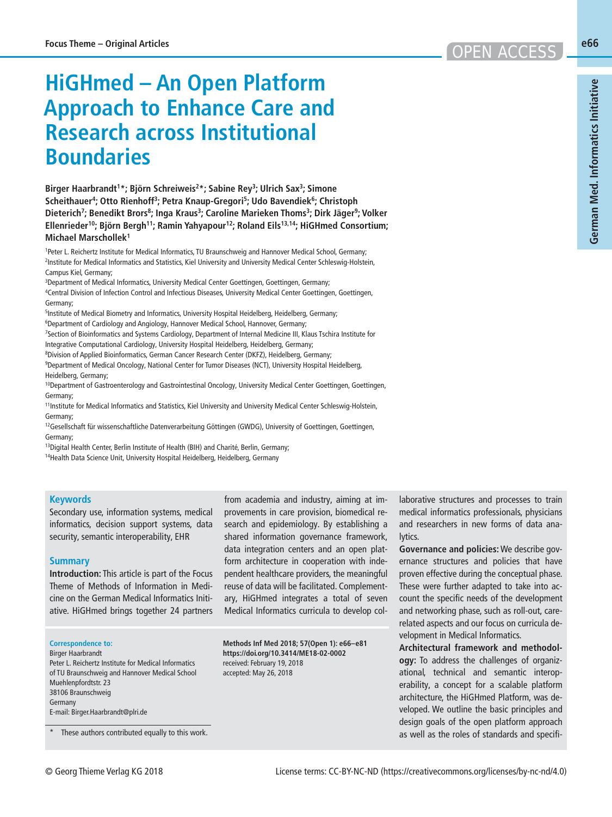# **HiGHmed – An Open Platform Approach to Enhance Care and Research across Institutional Boundaries**

<span id="page-0-1"></span>**Birger Haarbrandt[1\\*;](#page-0-0) Björn Schreiweis2\*; Sabine Rey3; Ulrich Sax3; Simone**  Scheithauer<sup>4</sup>; Otto Rienhoff<sup>3</sup>; Petra Knaup-Gregori<sup>5</sup>; Udo Bavendiek<sup>6</sup>; Christoph Dieterich<sup>7</sup>; Benedikt Brors<sup>8</sup>; Inga Kraus<sup>3</sup>; Caroline Marieken Thoms<sup>3</sup>; Dirk Jäger<sup>9</sup>; Volker Ellenrieder<sup>10</sup>; Björn Bergh<sup>11</sup>; Ramin Yahyapour<sup>12</sup>; Roland Eils<sup>13,14</sup>; HiGHmed Consortium; **Michael Marschollek1**

1 Peter L. Reichertz Institute for Medical Informatics, TU Braunschweig and Hannover Medical School, Germany; 2 Institute for Medical Informatics and Statistics, Kiel University and University Medical Center Schleswig-Holstein, Campus Kiel, Germany;

3 Department of Medical Informatics, University Medical Center Goettingen, Goettingen, Germany;

4 Central Division of Infection Control and Infectious Diseases, University Medical Center Goettingen, Goettingen, Germany;

<sup>5</sup>Institute of Medical Biometry and Informatics, University Hospital Heidelberg, Heidelberg, Germany;

<sup>6</sup>Department of Cardiology and Angiology, Hannover Medical School, Hannover, Germany;

7 Section of Bioinformatics and Systems Cardiology, Department of Internal Medicine III, Klaus Tschira Institute for Integrative Computational Cardiology, University Hospital Heidelberg, Heidelberg, Germany;

8 Division of Applied Bioinformatics, German Cancer Research Center (DKFZ), Heidelberg, Germany;

9 Department of Medical Oncology, National Center for Tumor Diseases (NCT), University Hospital Heidelberg, Heidelberg, Germany;

10Department of Gastroenterology and Gastrointestinal Oncology, University Medical Center Goettingen, Goettingen, Germany;

11Institute for Medical Informatics and Statistics, Kiel University and University Medical Center Schleswig-Holstein, Germany;

<sup>12</sup>Gesellschaft für wissenschaftliche Datenverarbeitung Göttingen (GWDG), University of Goettingen, Goettingen, Germany;

<sup>13</sup>Digital Health Center, Berlin Institute of Health (BIH) and Charité, Berlin, Germany;

<sup>14</sup>Health Data Science Unit, University Hospital Heidelberg, Heidelberg, Germany

# **Keywords**

Secondary use, information systems, medical informatics, decision support systems, data security, semantic interoperability, EHR

#### **Summary**

**Introduction:** This article is part of the Focus Theme of Methods of Information in Medicine on the German Medical Informatics Initiative. HiGHmed brings together 24 partners

from academia and industry, aiming at improvements in care provision, biomedical research and epidemiology. By establishing a shared information governance framework, data integration centers and an open platform architecture in cooperation with independent healthcare providers, the meaningful reuse of data will be facilitated. Complementary, HiGHmed integrates a total of seven Medical Informatics curricula to develop col-

#### **Correspondence to:**

Birger Haarbrandt Peter L. Reichertz Institute for Medical Informatics of TU Braunschweig and Hannover Medical School Muehlenpfordtstr. 23 38106 Braunschweig Germany E-mail: Birger.Haarbrandt@plri.de

<span id="page-0-0"></span>[\\*](#page-0-1) These authors contributed equally to this work.

**Methods Inf Med 2018; 57(Open 1): e66– e81 https://doi.org/10.3414/ME18-02-0002** received: February 19, 2018 accepted: May 26, 2018

laborative structures and processes to train medical informatics professionals, physicians and researchers in new forms of data analytics.

**Governance and policies:** We describe governance structures and policies that have proven effective during the conceptual phase. These were further adapted to take into account the specific needs of the development and networking phase, such as roll-out, carerelated aspects and our focus on curricula development in Medical Informatics.

**Architectural framework and methodology:** To address the challenges of organizational, technical and semantic interoperability, a concept for a scalable platform architecture, the HiGHmed Platform, was developed. We outline the basic principles and design goals of the open platform approach as well as the roles of standards and specifi-

**ACCESS**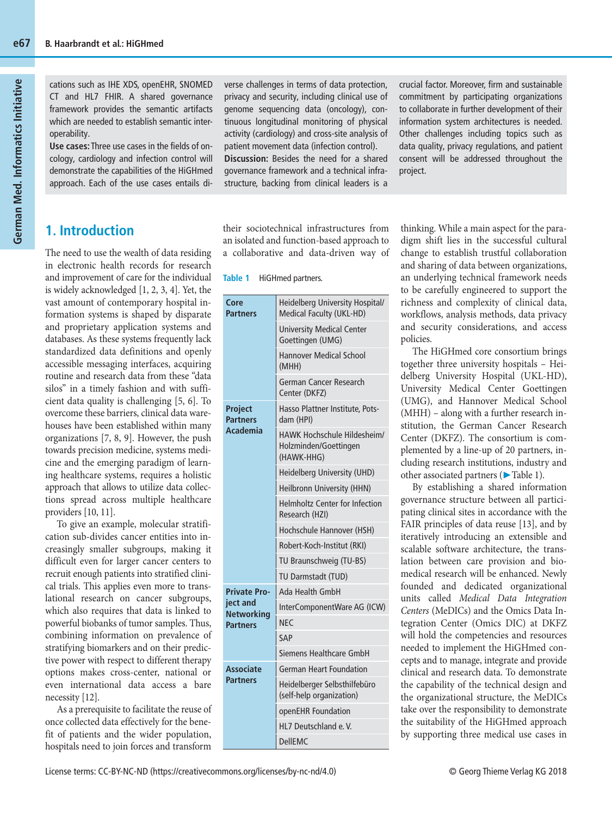crucial factor. Moreover, firm and sustainable commitment by participating organizations to collaborate in further development of their information system architectures is needed. Other challenges including topics such as data quality, privacy regulations, and patient consent will be addressed throughout the project.

# **1. Introduction**

**Table 1** HiGHmed partners.

| B. Haarbrandt et al.: HiGHmed                                                                                                                                                                                                                                                                                                                                                                    |                                                                                                                                                                                                                                                                                                                                                                                                                                           |                                                                    |                                                                                                                                                                                                                                                                                                                          |
|--------------------------------------------------------------------------------------------------------------------------------------------------------------------------------------------------------------------------------------------------------------------------------------------------------------------------------------------------------------------------------------------------|-------------------------------------------------------------------------------------------------------------------------------------------------------------------------------------------------------------------------------------------------------------------------------------------------------------------------------------------------------------------------------------------------------------------------------------------|--------------------------------------------------------------------|--------------------------------------------------------------------------------------------------------------------------------------------------------------------------------------------------------------------------------------------------------------------------------------------------------------------------|
|                                                                                                                                                                                                                                                                                                                                                                                                  |                                                                                                                                                                                                                                                                                                                                                                                                                                           |                                                                    |                                                                                                                                                                                                                                                                                                                          |
| cations such as IHE XDS, openEHR, SNOMED<br>CT and HL7 FHIR. A shared governance<br>framework provides the semantic artifacts<br>which are needed to establish semantic inter-<br>operability.<br>Use cases: Three use cases in the fields of on-<br>cology, cardiology and infection control will<br>demonstrate the capabilities of the HiGHmed<br>approach. Each of the use cases entails di- | verse challenges in terms of data protection,<br>privacy and security, including clinical use of<br>genome sequencing data (oncology), con-<br>tinuous longitudinal monitoring of physical<br>activity (cardiology) and cross-site analysis of<br>patient movement data (infection control).<br>Discussion: Besides the need for a shared<br>governance framework and a technical infra-<br>structure, backing from clinical leaders is a |                                                                    | crucial factor. Moreover, firm and sustain<br>commitment by participating organizat<br>to collaborate in further development of t<br>information system architectures is nee<br>Other challenges including topics such<br>data quality, privacy regulations, and pat<br>consent will be addressed throughout<br>project. |
|                                                                                                                                                                                                                                                                                                                                                                                                  |                                                                                                                                                                                                                                                                                                                                                                                                                                           |                                                                    |                                                                                                                                                                                                                                                                                                                          |
| 1. Introduction<br>The need to use the wealth of data residing<br>in electronic health records for research<br>and improvement of care for the individual<br>is widely acknowledged [1, 2, 3, 4]. Yet, the<br>vast amount of contemporary hospital in-<br>formation systems is shaped by disparate<br>and proprietary application systems and<br>databases. As these systems frequently lack     | their sociotechnical infrastructures from<br>an isolated and function-based approach to<br>a collaborative and data-driven way of<br>HiGHmed partners.<br>Table 1                                                                                                                                                                                                                                                                         |                                                                    | thinking. While a main aspect for the<br>digm shift lies in the successful cul<br>change to establish trustful collabor<br>and sharing of data between organizat<br>an underlying technical framework r<br>to be carefully engineered to suppor                                                                          |
|                                                                                                                                                                                                                                                                                                                                                                                                  | Core<br><b>Partners</b>                                                                                                                                                                                                                                                                                                                                                                                                                   | Heidelberg University Hospital/<br>Medical Faculty (UKL-HD)        | richness and complexity of clinical<br>workflows, analysis methods, data pr<br>and security considerations, and a<br>policies.                                                                                                                                                                                           |
|                                                                                                                                                                                                                                                                                                                                                                                                  |                                                                                                                                                                                                                                                                                                                                                                                                                                           | <b>University Medical Center</b><br>Goettingen (UMG)               |                                                                                                                                                                                                                                                                                                                          |
| standardized data definitions and openly<br>accessible messaging interfaces, acquiring                                                                                                                                                                                                                                                                                                           |                                                                                                                                                                                                                                                                                                                                                                                                                                           | Hannover Medical School<br>(MHH)                                   | The HiGHmed core consortium b<br>together three university hospitals -                                                                                                                                                                                                                                                   |
| routine and research data from these "data<br>silos" in a timely fashion and with suffi-<br>cient data quality is challenging [5, 6]. To<br>overcome these barriers, clinical data ware-                                                                                                                                                                                                         |                                                                                                                                                                                                                                                                                                                                                                                                                                           | German Cancer Research<br>Center (DKFZ)                            | delberg University Hospital (UKL-1<br>University Medical Center Goetti<br>(UMG), and Hannover Medical So<br>(MHH) - along with a further researd                                                                                                                                                                         |
|                                                                                                                                                                                                                                                                                                                                                                                                  | Project<br><b>Partners</b>                                                                                                                                                                                                                                                                                                                                                                                                                | Hasso Plattner Institute, Pots-<br>dam (HPI)                       |                                                                                                                                                                                                                                                                                                                          |
| houses have been established within many<br>organizations [7, 8, 9]. However, the push<br>towards precision medicine, systems medi-<br>cine and the emerging paradigm of learn-                                                                                                                                                                                                                  | Academia                                                                                                                                                                                                                                                                                                                                                                                                                                  | HAWK Hochschule Hildesheim/<br>Holzminden/Goettingen<br>(HAWK-HHG) | stitution, the German Cancer Rese<br>Center (DKFZ). The consortium is<br>plemented by a line-up of 20 partner                                                                                                                                                                                                            |
| ing healthcare systems, requires a holistic                                                                                                                                                                                                                                                                                                                                                      |                                                                                                                                                                                                                                                                                                                                                                                                                                           | Heidelberg University (UHD)                                        | cluding research institutions, industry<br>other associated partners ( $\blacktriangleright$ Table 1).                                                                                                                                                                                                                   |
| approach that allows to utilize data collec-                                                                                                                                                                                                                                                                                                                                                     |                                                                                                                                                                                                                                                                                                                                                                                                                                           | Heilbronn University (HHN)                                         | By establishing a shared inform                                                                                                                                                                                                                                                                                          |
| tions spread across multiple healthcare<br>providers [10, 11].                                                                                                                                                                                                                                                                                                                                   |                                                                                                                                                                                                                                                                                                                                                                                                                                           | Helmholtz Center for Infection<br>Research (HZI)                   | governance structure between all pa<br>pating clinical sites in accordance with                                                                                                                                                                                                                                          |
| To give an example, molecular stratifi-<br>cation sub-divides cancer entities into in-                                                                                                                                                                                                                                                                                                           |                                                                                                                                                                                                                                                                                                                                                                                                                                           | Hochschule Hannover (HSH)                                          | FAIR principles of data reuse [13], ar<br>iteratively introducing an extensible                                                                                                                                                                                                                                          |
| creasingly smaller subgroups, making it                                                                                                                                                                                                                                                                                                                                                          |                                                                                                                                                                                                                                                                                                                                                                                                                                           | Robert-Koch-Institut (RKI)                                         | scalable software architecture, the t                                                                                                                                                                                                                                                                                    |
| difficult even for larger cancer centers to                                                                                                                                                                                                                                                                                                                                                      |                                                                                                                                                                                                                                                                                                                                                                                                                                           | TU Braunschweig (TU-BS)                                            | lation between care provision and                                                                                                                                                                                                                                                                                        |
| recruit enough patients into stratified clini-<br>cal trials. This applies even more to trans-                                                                                                                                                                                                                                                                                                   |                                                                                                                                                                                                                                                                                                                                                                                                                                           | TU Darmstadt (TUD)                                                 | medical research will be enhanced. N<br>founded and dedicated organizat                                                                                                                                                                                                                                                  |
| lational research on cancer subgroups,                                                                                                                                                                                                                                                                                                                                                           | <b>Private Pro-</b><br>ject and                                                                                                                                                                                                                                                                                                                                                                                                           | Ada Health GmbH                                                    | units called Medical Data Integr                                                                                                                                                                                                                                                                                         |
| which also requires that data is linked to                                                                                                                                                                                                                                                                                                                                                       | <b>Networking</b>                                                                                                                                                                                                                                                                                                                                                                                                                         | InterComponentWare AG (ICW)                                        | Centers (MeDICs) and the Omics Dat                                                                                                                                                                                                                                                                                       |
| powerful biobanks of tumor samples. Thus,                                                                                                                                                                                                                                                                                                                                                        | <b>Partners</b>                                                                                                                                                                                                                                                                                                                                                                                                                           | <b>NEC</b>                                                         | tegration Center (Omics DIC) at D                                                                                                                                                                                                                                                                                        |
| combining information on prevalence of<br>stratifying biomarkers and on their predic-                                                                                                                                                                                                                                                                                                            |                                                                                                                                                                                                                                                                                                                                                                                                                                           | SAP                                                                | will hold the competencies and resor<br>needed to implement the HiGHmed                                                                                                                                                                                                                                                  |
| tive power with respect to different therapy                                                                                                                                                                                                                                                                                                                                                     |                                                                                                                                                                                                                                                                                                                                                                                                                                           | Siemens Healthcare GmbH                                            | cepts and to manage, integrate and pro                                                                                                                                                                                                                                                                                   |
| options makes cross-center, national or                                                                                                                                                                                                                                                                                                                                                          | <b>Associate</b><br><b>Partners</b>                                                                                                                                                                                                                                                                                                                                                                                                       | <b>German Heart Foundation</b>                                     | clinical and research data. To demons                                                                                                                                                                                                                                                                                    |
| even international data access a bare<br>necessity [12].                                                                                                                                                                                                                                                                                                                                         |                                                                                                                                                                                                                                                                                                                                                                                                                                           | Heidelberger Selbsthilfebüro<br>(self-help organization)           | the capability of the technical design<br>the organizational structure, the Me.                                                                                                                                                                                                                                          |
| As a prerequisite to facilitate the reuse of                                                                                                                                                                                                                                                                                                                                                     |                                                                                                                                                                                                                                                                                                                                                                                                                                           | openEHR Foundation                                                 | take over the responsibility to demons                                                                                                                                                                                                                                                                                   |
| once collected data effectively for the bene-<br>fit of patients and the wider population,                                                                                                                                                                                                                                                                                                       |                                                                                                                                                                                                                                                                                                                                                                                                                                           | HL7 Deutschland e.V.                                               | the suitability of the HiGHmed appr<br>by supporting three medical use cas                                                                                                                                                                                                                                               |
| hospitals need to join forces and transform                                                                                                                                                                                                                                                                                                                                                      |                                                                                                                                                                                                                                                                                                                                                                                                                                           | DellEMC                                                            |                                                                                                                                                                                                                                                                                                                          |
| License terms: CC-BY-NC-ND (https://creativecommons.org/licenses/by-nc-nd/4.0)                                                                                                                                                                                                                                                                                                                   |                                                                                                                                                                                                                                                                                                                                                                                                                                           |                                                                    | © Georg Thieme Verlag KG                                                                                                                                                                                                                                                                                                 |

thinking. While a main aspect for the paradigm shift lies in the successful cultural change to establish trustful collaboration and sharing of data between organizations, an underlying technical framework needs to be carefully engineered to support the richness and complexity of clinical data, workflows, analysis methods, data privacy and security considerations, and access policies.

The HiGHmed core consortium brings together three university hospitals – Heidelberg University Hospital (UKL-HD), University Medical Center Goettingen (UMG), and Hannover Medical School (MHH) – along with a further research institution, the German Cancer Research Center (DKFZ). The consortium is complemented by a line-up of 20 partners, including research institutions, industry and other associated partners (▶ Table 1).

By establishing a shared information governance structure between all participating clinical sites in accordance with the FAIR principles of data reuse [13], and by iteratively introducing an extensible and scalable software architecture, the translation between care provision and biomedical research will be enhanced. Newly founded and dedicated organizational units called *Medical Data Integration Centers* (MeDICs) and the Omics Data Integration Center (Omics DIC) at DKFZ will hold the competencies and resources needed to implement the HiGHmed concepts and to manage, integrate and provide clinical and research data. To demonstrate the capability of the technical design and the organizational structure, the MeDICs take over the responsibility to demonstrate the suitability of the HiGHmed approach by supporting three medical use cases in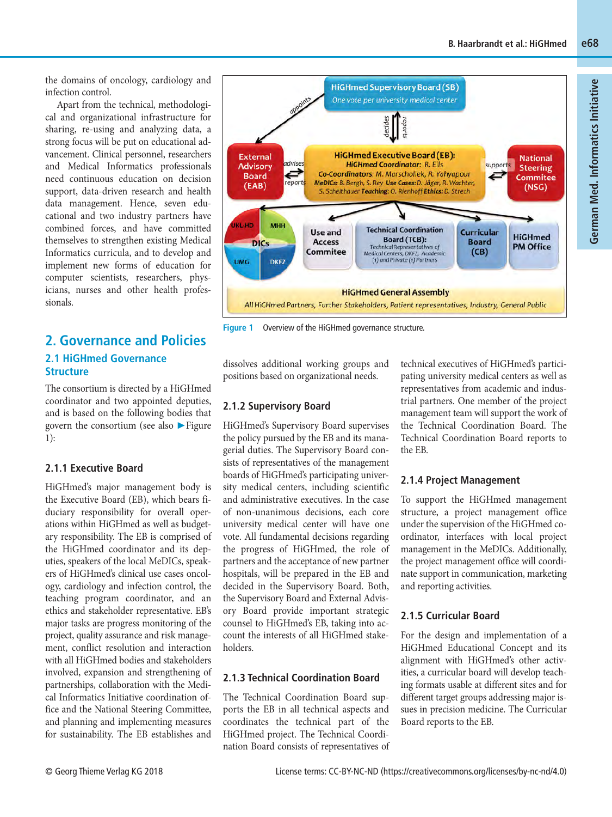the domains of oncology, cardiology and infection control.

Apart from the technical, methodological and organizational infrastructure for sharing, re-using and analyzing data, a strong focus will be put on educational advancement. Clinical personnel, researchers and Medical Informatics professionals need continuous education on decision support, data-driven research and health data management. Hence, seven educational and two industry partners have combined forces, and have committed themselves to strengthen existing Medical Informatics curricula, and to develop and implement new forms of education for computer scientists, researchers, physicians, nurses and other health professionals.

# **2. Governance and Policies 2.1 HiGHmed Governance Structure**

The consortium is directed by a HiGHmed coordinator and two appointed deputies, and is based on the following bodies that govern the consortium (see also ▶ Figure 1):

#### **2.1.1 Executive Board**

HiGHmed's major management body is the Executive Board (EB), which bears fiduciary responsibility for overall operations within HiGHmed as well as budgetary responsibility. The EB is comprised of the HiGHmed coordinator and its deputies, speakers of the local MeDICs, speakers of HiGHmed's clinical use cases oncology, cardiology and infection control, the teaching program coordinator, and an ethics and stakeholder representative. EB's major tasks are progress monitoring of the project, quality assurance and risk management, conflict resolution and interaction with all HiGHmed bodies and stakeholders involved, expansion and strengthening of partnerships, collaboration with the Medical Informatics Initiative coordination office and the National Steering Committee, and planning and implementing measures for sustainability. The EB establishes and



**Figure 1** Overview of the HiGHmed governance structure.

dissolves additional working groups and positions based on organizational needs.

#### **2.1.2 Supervisory Board**

HiGHmed's Supervisory Board supervises the policy pursued by the EB and its managerial duties. The Supervisory Board consists of representatives of the management boards of HiGHmed's participating university medical centers, including scientific and administrative executives. In the case of non-unanimous decisions, each core university medical center will have one vote. All fundamental decisions regarding the progress of HiGHmed, the role of partners and the acceptance of new partner hospitals, will be prepared in the EB and decided in the Supervisory Board. Both, the Supervisory Board and External Advisory Board provide important strategic counsel to HiGHmed's EB, taking into account the interests of all HiGHmed stakeholders.

#### **2.1.3 Technical Coordination Board**

The Technical Coordination Board supports the EB in all technical aspects and coordinates the technical part of the HiGHmed project. The Technical Coordination Board consists of representatives of technical executives of HiGHmed's participating university medical centers as well as representatives from academic and industrial partners. One member of the project management team will support the work of the Technical Coordination Board. The Technical Coordination Board reports to the EB.

# **2.1.4 Project Management**

To support the HiGHmed management structure, a project management office under the supervision of the HiGHmed coordinator, interfaces with local project management in the MeDICs. Additionally, the project management office will coordinate support in communication, marketing and reporting activities.

# **2.1.5 Curricular Board**

For the design and implementation of a HiGHmed Educational Concept and its alignment with HiGHmed's other activities, a curricular board will develop teaching formats usable at different sites and for different target groups addressing major issues in precision medicine. The Curricular Board reports to the EB.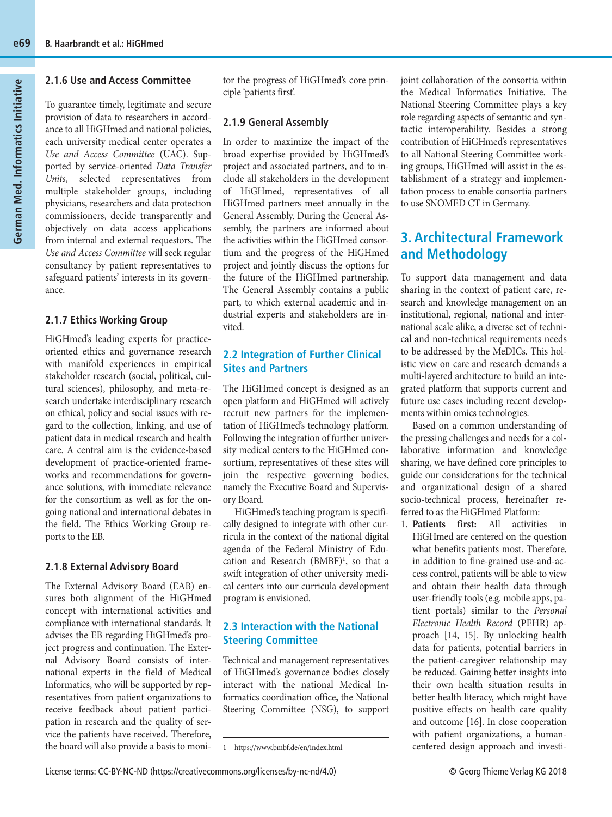# **2.1.6 Use and Access Committee**

To guarantee timely, legitimate and secure provision of data to researchers in accordance to all HiGHmed and national policies, each university medical center operates a *Use and Access Committee* (UAC). Supported by service-oriented *Data Transfer Units*, selected representatives from multiple stakeholder groups, including physicians, researchers and data protection commissioners, decide transparently and objectively on data access applications from internal and external requestors. The *Use and Access Committee* will seek regular consultancy by patient representatives to safeguard patients' interests in its governance.

#### **2.1.7 Ethics Working Group**

HiGHmed's leading experts for practiceoriented ethics and governance research with manifold experiences in empirical stakeholder research (social, political, cultural sciences), philosophy, and meta-research undertake interdisciplinary research on ethical, policy and social issues with regard to the collection, linking, and use of patient data in medical research and health care. A central aim is the evidence-based development of practice-oriented frameworks and recommendations for governance solutions, with immediate relevance for the consortium as well as for the ongoing national and international debates in the field. The Ethics Working Group reports to the EB. **Example the statistics of the statistics of the statistics of the statistics of the statistics of the statistics of the statistics of the statistics of the statistics of the statistics of the statistics of the statistics** 

#### **2.1.8 External Advisory Board**

The External Advisory Board (EAB) ensures both alignment of the HiGHmed concept with international activities and compliance with international standards. It advises the EB regarding HiGHmed's project progress and continuation. The External Advisory Board consists of international experts in the field of Medical Informatics, who will be supported by representatives from patient organizations to receive feedback about patient participation in research and the quality of service the patients have received. Therefore, the board will also provide a basis to monitor the progress of HiGHmed's core principle 'patients first'.

#### **2.1.9 General Assembly**

In order to maximize the impact of the broad expertise provided by HiGHmed's project and associated partners, and to include all stakeholders in the development of HiGHmed, representatives of all HiGHmed partners meet annually in the General Assembly. During the General Assembly, the partners are informed about the activities within the HiGHmed consortium and the progress of the HiGHmed project and jointly discuss the options for the future of the HiGHmed partnership. The General Assembly contains a public part, to which external academic and industrial experts and stakeholders are invited.

# **2.2 Integration of Further Clinical Sites and Partners**

The HiGHmed concept is designed as an open platform and HiGHmed will actively recruit new partners for the implementation of HiGHmed's technology platform. Following the integration of further university medical centers to the HiGHmed consortium, representatives of these sites will join the respective governing bodies, namely the Executive Board and Supervisory Board.

<span id="page-3-1"></span>HiGHmed's teaching program is specifically designed to integrate with other curricula in the context of the national digital agenda of the Federal Ministry of Education and Research (BMBF)<sup>1</sup>, so that a swift integration of other university medical centers into our curricula development program is envisioned.

# **2.3 Interaction with the National Steering Committee**

Technical and management representatives of HiGHmed's governance bodies closely interact with the national Medical Informatics coordination office**,** the National Steering Committee (NSG), to support joint collaboration of the consortia within the Medical Informatics Initiative. The National Steering Committee plays a key role regarding aspects of semantic and syntactic interoperability. Besides a strong contribution of HiGHmed's representatives to all National Steering Committee working groups, HiGHmed will assist in the establishment of a strategy and implementation process to enable consortia partners to use SNOMED CT in Germany.

# **3. Architectural Framework and Methodology**

To support data management and data sharing in the context of patient care, research and knowledge management on an institutional, regional, national and international scale alike, a diverse set of technical and non-technical requirements needs to be addressed by the MeDICs. This holistic view on care and research demands a multi-layered architecture to build an integrated platform that supports current and future use cases including recent developments within omics technologies.

Based on a common understanding of the pressing challenges and needs for a collaborative information and knowledge sharing, we have defined core principles to guide our considerations for the technical and organizational design of a shared socio-technical process, hereinafter referred to as the HiGHmed Platform:

1. **Patients first:** All activities in HiGHmed are centered on the question what benefits patients most. Therefore, in addition to fine-grained use-and-access control, patients will be able to view and obtain their health data through user-friendly tools (e.g. mobile apps, patient portals) similar to the *Personal Electronic Health Record* (PEHR) approach [14, 15]. By unlocking health data for patients, potential barriers in the patient-caregiver relationship may be reduced. Gaining better insights into their own health situation results in better health literacy, which might have positive effects on health care quality and outcome [16]. In close cooperation with patient organizations, a humancentered design approach and investi-

<span id="page-3-0"></span>[<sup>1</sup>](#page-3-1) https://www.bmbf.de/en/index.html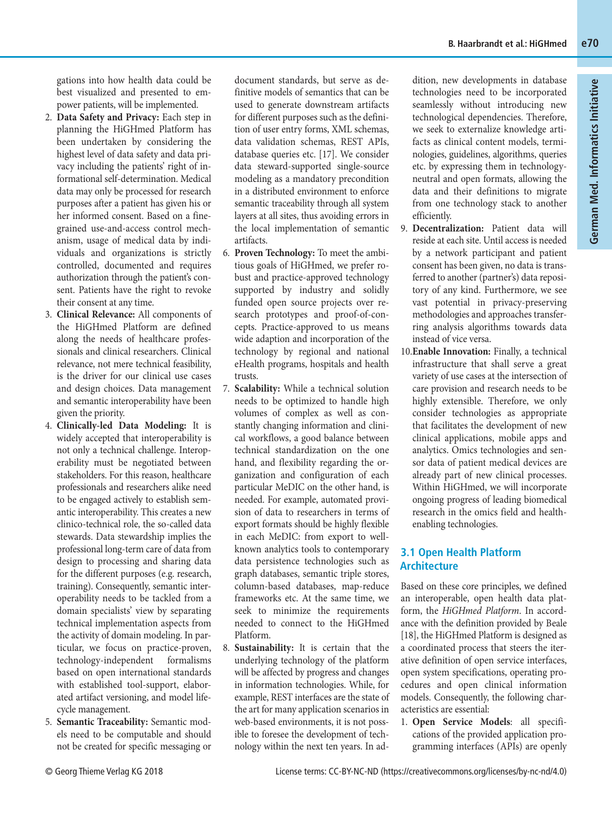gations into how health data could be best visualized and presented to empower patients, will be implemented.

- 2. **Data Safety and Privacy:** Each step in planning the HiGHmed Platform has been undertaken by considering the highest level of data safety and data privacy including the patients' right of informational self-determination. Medical data may only be processed for research purposes after a patient has given his or her informed consent. Based on a finegrained use-and-access control mechanism, usage of medical data by individuals and organizations is strictly controlled, documented and requires authorization through the patient's consent. Patients have the right to revoke their consent at any time.
- 3. **Clinical Relevance:** All components of the HiGHmed Platform are defined along the needs of healthcare professionals and clinical researchers. Clinical relevance, not mere technical feasibility, is the driver for our clinical use cases and design choices. Data management and semantic interoperability have been given the priority.
- 4. **Clinically-led Data Modeling:** It is widely accepted that interoperability is not only a technical challenge. Interoperability must be negotiated between stakeholders. For this reason, healthcare professionals and researchers alike need to be engaged actively to establish semantic interoperability. This creates a new clinico-technical role, the so-called data stewards. Data stewardship implies the professional long-term care of data from design to processing and sharing data for the different purposes (e.g. research, training). Consequently, semantic interoperability needs to be tackled from a domain specialists' view by separating technical implementation aspects from the activity of domain modeling. In particular, we focus on practice-proven, technology-independent formalisms based on open international standards with established tool-support, elaborated artifact versioning, and model lifecycle management.
- 5. **Semantic Traceability:** Semantic models need to be computable and should not be created for specific messaging or

document standards, but serve as definitive models of semantics that can be used to generate downstream artifacts for different purposes such as the definition of user entry forms, XML schemas, data validation schemas, REST APIs, database queries etc. [17]. We consider data steward-supported single-source modeling as a mandatory precondition in a distributed environment to enforce semantic traceability through all system layers at all sites, thus avoiding errors in the local implementation of semantic artifacts.

- 6. **Proven Technology:** To meet the ambitious goals of HiGHmed, we prefer robust and practice-approved technology supported by industry and solidly funded open source projects over research prototypes and proof-of-concepts. Practice-approved to us means wide adaption and incorporation of the technology by regional and national eHealth programs, hospitals and health trusts.
- 7. **Scalability:** While a technical solution needs to be optimized to handle high volumes of complex as well as constantly changing information and clinical workflows, a good balance between technical standardization on the one hand, and flexibility regarding the organization and configuration of each particular MeDIC on the other hand, is needed. For example, automated provision of data to researchers in terms of export formats should be highly flexible in each MeDIC: from export to wellknown analytics tools to contemporary data persistence technologies such as graph databases, semantic triple stores, column-based databases, map-reduce frameworks etc. At the same time, we seek to minimize the requirements needed to connect to the HiGHmed Platform.
- 8. **Sustainability:** It is certain that the underlying technology of the platform will be affected by progress and changes in information technologies. While, for example, REST interfaces are the state of the art for many application scenarios in web-based environments, it is not possible to foresee the development of technology within the next ten years. In ad-

dition, new developments in database technologies need to be incorporated seamlessly without introducing new technological dependencies. Therefore, we seek to externalize knowledge artifacts as clinical content models, terminologies, guidelines, algorithms, queries etc. by expressing them in technologyneutral and open formats, allowing the data and their definitions to migrate from one technology stack to another efficiently.

- 9. **Decentralization:** Patient data will reside at each site. Until access is needed by a network participant and patient consent has been given, no data is transferred to another (partner's) data repository of any kind. Furthermore, we see vast potential in privacy-preserving methodologies and approaches transferring analysis algorithms towards data instead of vice versa.
- 10.**Enable Innovation:** Finally, a technical infrastructure that shall serve a great variety of use cases at the intersection of care provision and research needs to be highly extensible. Therefore, we only consider technologies as appropriate that facilitates the development of new clinical applications, mobile apps and analytics. Omics technologies and sensor data of patient medical devices are already part of new clinical processes. Within HiGHmed, we will incorporate ongoing progress of leading biomedical research in the omics field and healthenabling technologies.

# **3.1 Open Health Platform Architecture**

Based on these core principles, we defined an interoperable, open health data platform, the *HiGHmed Platform*. In accordance with the definition provided by Beale [18], the HiGHmed Platform is designed as a coordinated process that steers the iterative definition of open service interfaces, open system specifications, operating procedures and open clinical information models. Consequently, the following characteristics are essential:

1. **Open Service Models**: all specifications of the provided application programming interfaces (APIs) are openly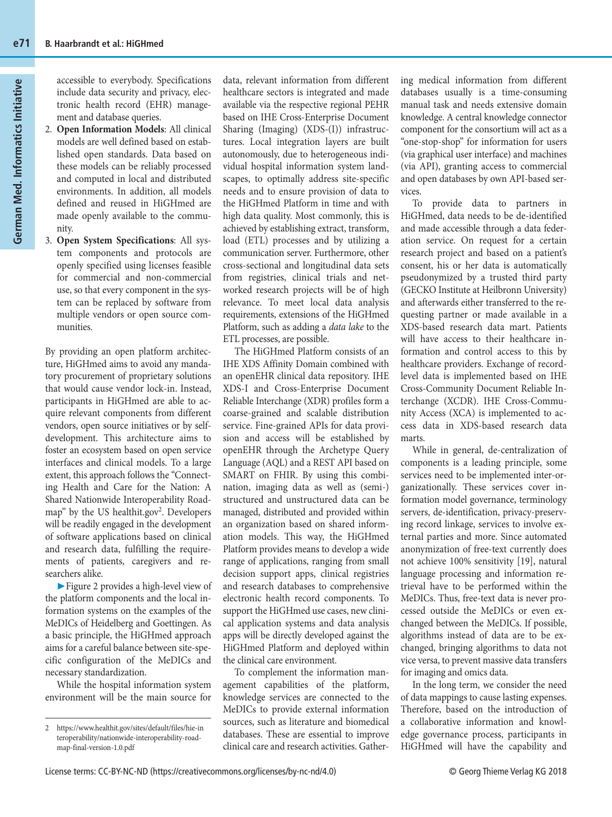- 2. **Open Information Models**: All clinical models are well defined based on established open standards. Data based on these models can be reliably processed and computed in local and distributed environments. In addition, all models defined and reused in HiGHmed are made openly available to the community.
- 3. **Open System Specifications**: All system components and protocols are openly specified using licenses feasible for commercial and non-commercial use, so that every component in the system can be replaced by software from multiple vendors or open source communities.

By providing an open platform architecture, HiGHmed aims to avoid any mandatory procurement of proprietary solutions that would cause vendor lock-in. Instead, participants in HiGHmed are able to acquire relevant components from different vendors, open source initiatives or by selfdevelopment. This architecture aims to foster an ecosystem based on open service interfaces and clinical models. To a large extent, this approach follows the "Connecting Health and Care for the Nation: A Shared Nationwide Interoperability Roadmap" by the US healthit.gov<sup>2</sup>. Developers will be readily engaged in the development of software applications based on clinical and research data, fulfilling the requirements of patients, caregivers and researchers alike.

<span id="page-5-1"></span>▶ Figure 2 provides a high-level view of the platform components and the local information systems on the examples of the MeDICs of Heidelberg and Goettingen. As a basic principle, the HiGHmed approach aims for a careful balance between site-specific configuration of the MeDICs and necessary standardization.

While the hospital information system environment will be the main source for data, relevant information from different healthcare sectors is integrated and made available via the respective regional PEHR based on IHE Cross-Enterprise Document Sharing (Imaging) (XDS-(I)) infrastructures. Local integration layers are built autonomously, due to heterogeneous individual hospital information system landscapes, to optimally address site-specific needs and to ensure provision of data to the HiGHmed Platform in time and with high data quality. Most commonly, this is achieved by establishing extract, transform, load (ETL) processes and by utilizing a communication server. Furthermore, other cross-sectional and longitudinal data sets from registries, clinical trials and networked research projects will be of high relevance. To meet local data analysis requirements, extensions of the HiGHmed Platform, such as adding a *data lake* to the ETL processes, are possible.

The HiGHmed Platform consists of an IHE XDS Affinity Domain combined with an openEHR clinical data repository. IHE XDS-I and Cross-Enterprise Document Reliable Interchange (XDR) profiles form a coarse-grained and scalable distribution service. Fine-grained APIs for data provision and access will be established by openEHR through the Archetype Query Language (AQL) and a REST API based on SMART on FHIR. By using this combination, imaging data as well as (semi-) structured and unstructured data can be managed, distributed and provided within an organization based on shared information models. This way, the HiGHmed Platform provides means to develop a wide range of applications, ranging from small decision support apps, clinical registries and research databases to comprehensive electronic health record components. To support the HiGHmed use cases, new clinical application systems and data analysis apps will be directly developed against the HiGHmed Platform and deployed within the clinical care environment. **Ristalvandret et al.: HiGHmed**<br>
whole data correspond growp of a habitation data, relevant externion terms: correspond for all and and the state of the correspond for all and and the state of the correspond for all and t

To complement the information management capabilities of the platform, knowledge services are connected to the MeDICs to provide external information sources, such as literature and biomedical databases. These are essential to improve clinical care and research activities. Gathering medical information from different databases usually is a time-consuming manual task and needs extensive domain knowledge. A central knowledge connector component for the consortium will act as a "one-stop-shop" for information for users (via graphical user interface) and machines (via API), granting access to commercial and open databases by own API-based services.

To provide data to partners in HiGHmed, data needs to be de-identified and made accessible through a data federation service. On request for a certain research project and based on a patient's consent, his or her data is automatically pseudonymized by a trusted third party (GECKO Institute at Heilbronn University) and afterwards either transferred to the requesting partner or made available in a XDS-based research data mart. Patients will have access to their healthcare information and control access to this by healthcare providers. Exchange of recordlevel data is implemented based on IHE Cross-Community Document Reliable Interchange (XCDR). IHE Cross-Community Access (XCA) is implemented to access data in XDS-based research data marts.

While in general, de-centralization of components is a leading principle, some services need to be implemented inter-organizationally. These services cover information model governance, terminology servers, de-identification, privacy-preserving record linkage, services to involve external parties and more. Since automated anonymization of free-text currently does not achieve 100% sensitivity [19], natural language processing and information retrieval have to be performed within the MeDICs. Thus, free-text data is never processed outside the MeDICs or even exchanged between the MeDICs. If possible, algorithms instead of data are to be exchanged, bringing algorithms to data not vice versa, to prevent massive data transfers for imaging and omics data.

In the long term, we consider the need of data mappings to cause lasting expenses. Therefore, based on the introduction of a collaborative information and knowledge governance process, participants in HiGHmed will have the capability and

<span id="page-5-0"></span>[<sup>2</sup>](#page-5-1) https://www.healthit.gov/sites/default/files/hie-in teroperability/nationwide-interoperability-roadmap-final-version-1.0.pdf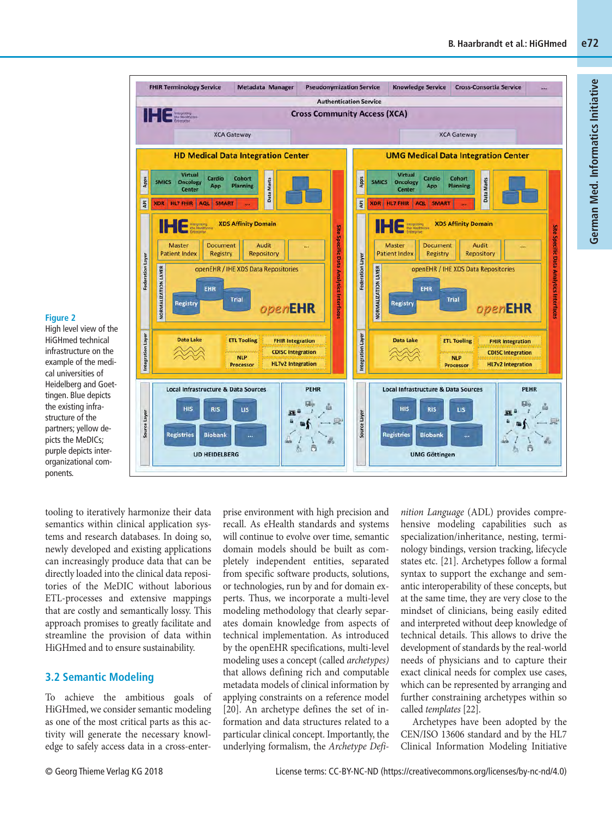

**Figure 2**  High level view of the HiGHmed technical infrastructure on the example of the medical universities of Heidelberg and Goettingen. Blue depicts the existing infrastructure of the partners; yellow depicts the MeDICs; purple depicts interorganizational components.

tooling to iteratively harmonize their data semantics within clinical application systems and research databases. In doing so, newly developed and existing applications can increasingly produce data that can be directly loaded into the clinical data repositories of the MeDIC without laborious ETL-processes and extensive mappings that are costly and semantically lossy. This approach promises to greatly facilitate and streamline the provision of data within HiGHmed and to ensure sustainability.

#### **3.2 Semantic Modeling**

To achieve the ambitious goals of HiGHmed, we consider semantic modeling as one of the most critical parts as this activity will generate the necessary knowledge to safely access data in a cross-enterprise environment with high precision and recall. As eHealth standards and systems will continue to evolve over time, semantic domain models should be built as completely independent entities, separated from specific software products, solutions, or technologies, run by and for domain experts. Thus, we incorporate a multi-level modeling methodology that clearly separates domain knowledge from aspects of technical implementation. As introduced by the openEHR specifications, multi-level modeling uses a concept (called *archetypes)* that allows defining rich and computable metadata models of clinical information by applying constraints on a reference model [20]. An archetype defines the set of information and data structures related to a particular clinical concept. Importantly, the underlying formalism, the *Archetype Defi-* *nition Language* (ADL) provides comprehensive modeling capabilities such as specialization/inheritance, nesting, terminology bindings, version tracking, lifecycle states etc. [21]. Archetypes follow a formal syntax to support the exchange and semantic interoperability of these concepts, but at the same time, they are very close to the mindset of clinicians, being easily edited and interpreted without deep knowledge of technical details. This allows to drive the development of standards by the real-world needs of physicians and to capture their exact clinical needs for complex use cases, which can be represented by arranging and further constraining archetypes within so called *templates* [22].

Archetypes have been adopted by the CEN/ISO 13606 standard and by the HL7 Clinical Information Modeling Initiative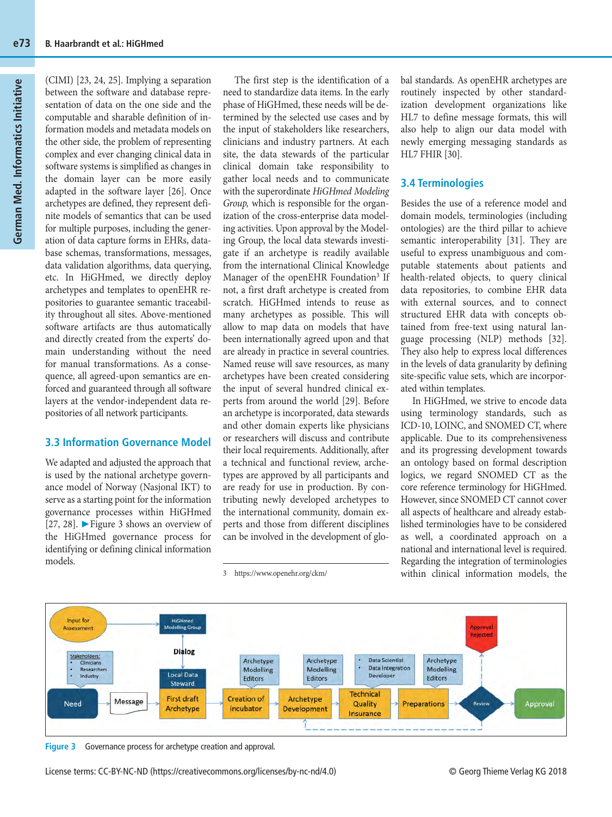(CIMI) [23, 24, 25]. Implying a separation between the software and database representation of data on the one side and the computable and sharable definition of information models and metadata models on the other side, the problem of representing complex and ever changing clinical data in software systems is simplified as changes in the domain layer can be more easily adapted in the software layer [26]. Once archetypes are defined, they represent definite models of semantics that can be used for multiple purposes, including the generation of data capture forms in EHRs, database schemas, transformations, messages, data validation algorithms, data querying, etc. In HiGHmed, we directly deploy archetypes and templates to openEHR repositories to guarantee semantic traceability throughout all sites. Above-mentioned software artifacts are thus automatically and directly created from the experts' domain understanding without the need for manual transformations. As a consequence, all agreed-upon semantics are enforced and guaranteed through all software layers at the vendor-independent data repositories of all network participants.

#### **3.3 Information Governance Model**

We adapted and adjusted the approach that is used by the national archetype governance model of Norway (Nasjonal IKT) to serve as a starting point for the information governance processes within HiGHmed [27, 28]. ▶ Figure 3 shows an overview of the HiGHmed governance process for identifying or defining clinical information models.

The first step is the identification of a need to standardize data items. In the early phase of HiGHmed, these needs will be determined by the selected use cases and by the input of stakeholders like researchers, clinicians and industry partners. At each site, the data stewards of the particular clinical domain take responsibility to gather local needs and to communicate with the superordinate *HiGHmed Modeling Group,* which is responsible for the organization of the cross-enterprise data modeling activities. Upon approval by the Modeling Group, the local data stewards investigate if an archetype is readily available from the international Clinical Knowledge Manager of the openEHR Foundation<sup>3</sup> If not, a first draft archetype is created from scratch. HiGHmed intends to reuse as many archetypes as possible. This will allow to map data on models that have been internationally agreed upon and that are already in practice in several countries. Named reuse will save resources, as many archetypes have been created considering the input of several hundred clinical experts from around the world [29]. Before an archetype is incorporated, data stewards and other domain experts like physicians or researchers will discuss and contribute their local requirements. Additionally, after a technical and functional review, archetypes are approved by all participants and are ready for use in production. By contributing newly developed archetypes to the international community, domain experts and those from different disciplines can be involved in the development of glo-**Example of al. HiGherid**<br>
CC-BY-LICEN and the distribution distribution of a both consistent where the consent of a<br>severe the other as distribution of the constraints due to me, the method of a<br>method of the consent of a

bal standards. As openEHR archetypes are routinely inspected by other standardization development organizations like HL7 to define message formats, this will also help to align our data model with newly emerging messaging standards as HL7 FHIR [30].

#### **3.4 Terminologies**

<span id="page-7-1"></span>Besides the use of a reference model and domain models, terminologies (including ontologies) are the third pillar to achieve semantic interoperability [31]. They are useful to express unambiguous and computable statements about patients and health-related objects, to query clinical data repositories, to combine EHR data with external sources, and to connect structured EHR data with concepts obtained from free-text using natural language processing (NLP) methods [32]. They also help to express local differences in the levels of data granularity by defining site-specific value sets, which are incorporated within templates.

In HiGHmed, we strive to encode data using terminology standards, such as ICD-10, LOINC, and SNOMED CT, where applicable. Due to its comprehensiveness and its progressing development towards an ontology based on formal description logics, we regard SNOMED CT as the core reference terminology for HiGHmed. However, since SNOMED CT cannot cover all aspects of healthcare and already established terminologies have to be considered as well, a coordinated approach on a national and international level is required. Regarding the integration of terminologies within clinical information models, the



<span id="page-7-0"></span>[3](#page-7-1) https://www.openehr.org/ckm/

**Figure 3** Governance process for archetype creation and approval.

Methods Inf Med Open 01/2018 © Schattauer 2018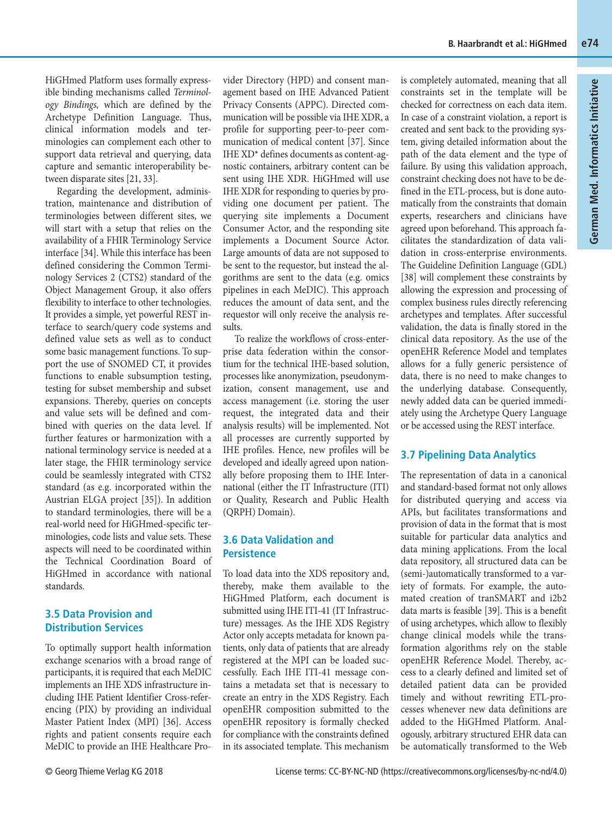HiGHmed Platform uses formally expressible binding mechanisms called *Terminology Bindings,* which are defined by the Archetype Definition Language. Thus, clinical information models and terminologies can complement each other to support data retrieval and querying, data capture and semantic interoperability between disparate sites [21, 33].

Regarding the development, administration, maintenance and distribution of terminologies between different sites, we will start with a setup that relies on the availability of a FHIR Terminology Service interface [34]. While this interface has been defined considering the Common Terminology Services 2 (CTS2) standard of the Object Management Group, it also offers flexibility to interface to other technologies. It provides a simple, yet powerful REST interface to search/query code systems and defined value sets as well as to conduct some basic management functions. To support the use of SNOMED CT, it provides functions to enable subsumption testing, testing for subset membership and subset expansions. Thereby, queries on concepts and value sets will be defined and combined with queries on the data level. If further features or harmonization with a national terminology service is needed at a later stage, the FHIR terminology service could be seamlessly integrated with CTS2 standard (as e.g. incorporated within the Austrian ELGA project [35]). In addition to standard terminologies, there will be a real-world need for HiGHmed-specific terminologies, code lists and value sets. These aspects will need to be coordinated within the Technical Coordination Board of HiGHmed in accordance with national standards.

# **3.5 Data Provision and Distribution Services**

To optimally support health information exchange scenarios with a broad range of participants, it is required that each MeDIC implements an IHE XDS infrastructure including IHE Patient Identifier Cross-referencing (PIX) by providing an individual Master Patient Index (MPI) [36]. Access rights and patient consents require each MeDIC to provide an IHE Healthcare Provider Directory (HPD) and consent management based on IHE Advanced Patient Privacy Consents (APPC). Directed communication will be possible via IHE XDR, a profile for supporting peer-to-peer communication of medical content [37]. Since IHE XD\* defines documents as content-agnostic containers, arbitrary content can be sent using IHE XDR. HiGHmed will use IHE XDR for responding to queries by providing one document per patient. The querying site implements a Document Consumer Actor, and the responding site implements a Document Source Actor. Large amounts of data are not supposed to be sent to the requestor, but instead the algorithms are sent to the data (e.g. omics pipelines in each MeDIC). This approach reduces the amount of data sent, and the requestor will only receive the analysis results.

To realize the workflows of cross-enterprise data federation within the consortium for the technical IHE-based solution, processes like anonymization, pseudonymization, consent management, use and access management (i.e. storing the user request, the integrated data and their analysis results) will be implemented. Not all processes are currently supported by IHE profiles. Hence, new profiles will be developed and ideally agreed upon nationally before proposing them to IHE International (either the IT Infrastructure (ITI) or Quality, Research and Public Health (QRPH) Domain).

# **3.6 Data Validation and Persistence**

To load data into the XDS repository and, thereby, make them available to the HiGHmed Platform, each document is submitted using IHE ITI-41 (IT Infrastructure) messages. As the IHE XDS Registry Actor only accepts metadata for known patients, only data of patients that are already registered at the MPI can be loaded successfully. Each IHE ITI-41 message contains a metadata set that is necessary to create an entry in the XDS Registry. Each openEHR composition submitted to the openEHR repository is formally checked for compliance with the constraints defined in its associated template. This mechanism is completely automated, meaning that all constraints set in the template will be checked for correctness on each data item. In case of a constraint violation, a report is created and sent back to the providing system, giving detailed information about the path of the data element and the type of failure. By using this validation approach, constraint checking does not have to be defined in the ETL-process, but is done automatically from the constraints that domain experts, researchers and clinicians have agreed upon beforehand. This approach facilitates the standardization of data validation in cross-enterprise environments. The Guideline Definition Language (GDL) [38] will complement these constraints by allowing the expression and processing of complex business rules directly referencing archetypes and templates. After successful validation, the data is finally stored in the clinical data repository. As the use of the openEHR Reference Model and templates allows for a fully generic persistence of data, there is no need to make changes to the underlying database. Consequently, newly added data can be queried immediately using the Archetype Query Language or be accessed using the REST interface.

# **3.7 Pipelining Data Analytics**

The representation of data in a canonical and standard-based format not only allows for distributed querying and access via APIs, but facilitates transformations and provision of data in the format that is most suitable for particular data analytics and data mining applications. From the local data repository, all structured data can be (semi-)automatically transformed to a variety of formats. For example, the automated creation of tranSMART and i2b2 data marts is feasible [39]. This is a benefit of using archetypes, which allow to flexibly change clinical models while the transformation algorithms rely on the stable openEHR Reference Model. Thereby, access to a clearly defined and limited set of detailed patient data can be provided timely and without rewriting ETL-processes whenever new data definitions are added to the HiGHmed Platform. Analogously, arbitrary structured EHR data can be automatically transformed to the Web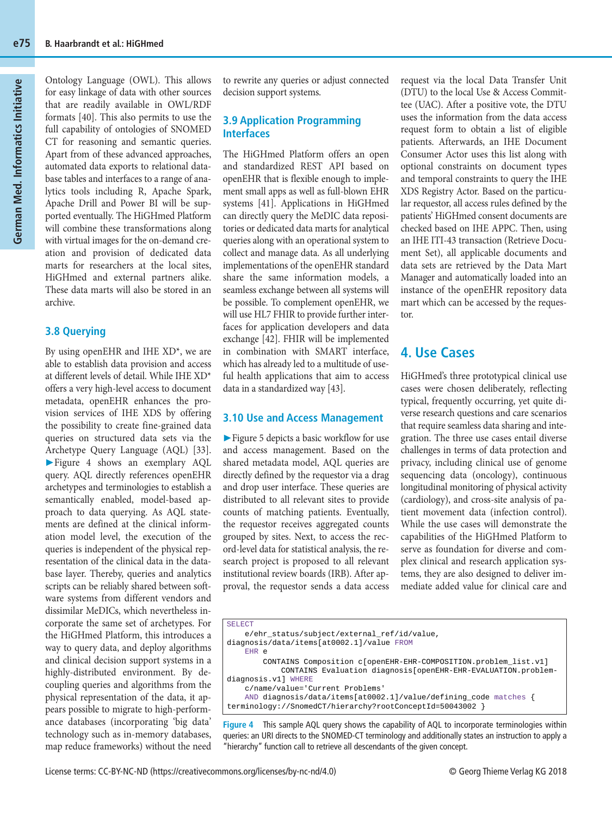Ontology Language (OWL). This allows for easy linkage of data with other sources that are readily available in OWL/RDF formats [40]. This also permits to use the full capability of ontologies of SNOMED CT for reasoning and semantic queries. Apart from of these advanced approaches, automated data exports to relational database tables and interfaces to a range of analytics tools including R, Apache Spark, Apache Drill and Power BI will be supported eventually. The HiGHmed Platform will combine these transformations along with virtual images for the on-demand creation and provision of dedicated data marts for researchers at the local sites, HiGHmed and external partners alike. These data marts will also be stored in an archive.

### **3.8 Querying**

By using openEHR and IHE XD\*, we are able to establish data provision and access at different levels of detail. While IHE XD\* offers a very high-level access to document metadata, openEHR enhances the provision services of IHE XDS by offering the possibility to create fine-grained data queries on structured data sets via the Archetype Query Language (AQL) [33]. ▶ Figure 4 shows an exemplary AQL query. AQL directly references openEHR archetypes and terminologies to establish a semantically enabled, model-based approach to data querying. As AQL statements are defined at the clinical information model level, the execution of the queries is independent of the physical representation of the clinical data in the database layer. Thereby, queries and analytics scripts can be reliably shared between software systems from different vendors and dissimilar MeDICs, which nevertheless incorporate the same set of archetypes. For the HiGHmed Platform, this introduces a way to query data, and deploy algorithms and clinical decision support systems in a highly-distributed environment. By decoupling queries and algorithms from the physical representation of the data, it appears possible to migrate to high-performance databases (incorporating 'big data' technology such as in-memory databases, map reduce frameworks) without the need **External of all straits and all straits are extending the straits and straits are extending the straits and the straits are extending to the straits are extending to the straits are extending to the straits are extending** 

to rewrite any queries or adjust connected decision support systems.

### **3.9 Application Programming Interfaces**

The HiGHmed Platform offers an open and standardized REST API based on openEHR that is flexible enough to implement small apps as well as full-blown EHR systems [41]. Applications in HiGHmed can directly query the MeDIC data repositories or dedicated data marts for analytical queries along with an operational system to collect and manage data. As all underlying implementations of the openEHR standard share the same information models, a seamless exchange between all systems will be possible. To complement openEHR, we will use HL7 FHIR to provide further interfaces for application developers and data exchange [42]. FHIR will be implemented in combination with SMART interface, which has already led to a multitude of useful health applications that aim to access data in a standardized way [43].

#### **3.10 Use and Access Management**

▶ Figure 5 depicts a basic workflow for use and access management. Based on the shared metadata model, AQL queries are directly defined by the requestor via a drag and drop user interface. These queries are distributed to all relevant sites to provide counts of matching patients. Eventually, the requestor receives aggregated counts grouped by sites. Next, to access the record-level data for statistical analysis, the research project is proposed to all relevant institutional review boards (IRB). After approval, the requestor sends a data access  request via the local Data Transfer Unit (DTU) to the local Use & Access Committee (UAC). After a positive vote, the DTU uses the information from the data access request form to obtain a list of eligible patients. Afterwards, an IHE Document Consumer Actor uses this list along with optional constraints on document types and temporal constraints to query the IHE XDS Registry Actor. Based on the particular requestor, all access rules defined by the patients' HiGHmed consent documents are checked based on IHE APPC. Then, using an IHE ITI-43 transaction (Retrieve Document Set), all applicable documents and data sets are retrieved by the Data Mart Manager and automatically loaded into an instance of the openEHR repository data mart which can be accessed by the requestor.

# **4. Use Cases**

HiGHmed's three prototypical clinical use cases were chosen deliberately, reflecting typical, frequently occurring, yet quite diverse research questions and care scenarios that require seamless data sharing and integration. The three use cases entail diverse challenges in terms of data protection and privacy, including clinical use of genome sequencing data (oncology), continuous longitudinal monitoring of physical activity (cardiology), and cross-site analysis of patient movement data (infection control). While the use cases will demonstrate the capabilities of the HiGHmed Platform to serve as foundation for diverse and complex clinical and research application systems, they are also designed to deliver immediate added value for clinical care and

```
SELECT
     e/ehr_status/subject/external_ref/id/value, 
diagnosis/data/items[at0002.1]/value FROM 
    EHR e 
         CONTAINS Composition c[openEHR-EHR-COMPOSITION.problem_list.v1] 
             CONTAINS Evaluation diagnosis[openEHR-EHR-EVALUATION.problem-
diagnosis.v1] WHERE 
     c/name/value='Current Problems' 
    AND diagnosis/data/items[at0002.1]/value/defining_code matches { 
terminology://SnomedCT/hierarchy?rootConceptId=50043002 }
```
**Figure 4** This sample AQL query shows the capability of AQL to incorporate terminologies within queries: an URI directs to the SNOMED-CT terminology and additionally states an instruction to apply a "hierarchy" function call to retrieve all descendants of the given concept.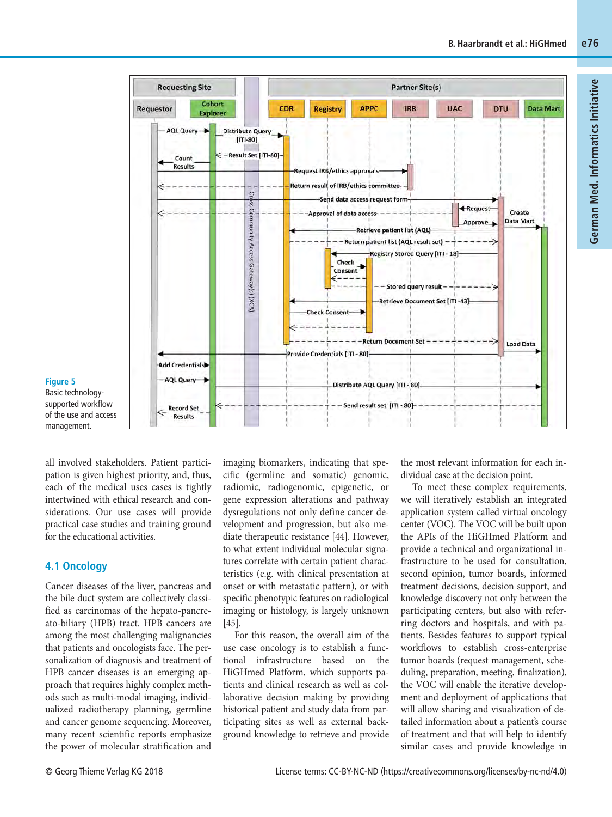**German Med. Informatics Initiative**

German Med. Informatics Initiative



**Figure 5**  Basic technologysupported workflow of the use and access management.

all involved stakeholders. Patient participation is given highest priority, and, thus, each of the medical uses cases is tightly intertwined with ethical research and considerations. Our use cases will provide practical case studies and training ground for the educational activities.

# **4.1 Oncology**

Cancer diseases of the liver, pancreas and the bile duct system are collectively classified as carcinomas of the hepato-pancreato-biliary (HPB) tract. HPB cancers are among the most challenging malignancies that patients and oncologists face. The personalization of diagnosis and treatment of HPB cancer diseases is an emerging approach that requires highly complex methods such as multi-modal imaging, individualized radiotherapy planning, germline and cancer genome sequencing. Moreover, many recent scientific reports emphasize the power of molecular stratification and

imaging biomarkers, indicating that specific (germline and somatic) genomic, radiomic, radiogenomic, epigenetic, or gene expression alterations and pathway dysregulations not only define cancer development and progression, but also mediate therapeutic resistance [44]. However, to what extent individual molecular signatures correlate with certain patient characteristics (e.g. with clinical presentation at onset or with metastatic pattern), or with specific phenotypic features on radiological imaging or histology, is largely unknown [45].

For this reason, the overall aim of the use case oncology is to establish a functional infrastructure based on the HiGHmed Platform, which supports patients and clinical research as well as collaborative decision making by providing historical patient and study data from participating sites as well as external background knowledge to retrieve and provide

the most relevant information for each individual case at the decision point.

To meet these complex requirements, we will iteratively establish an integrated application system called virtual oncology center (VOC). The VOC will be built upon the APIs of the HiGHmed Platform and provide a technical and organizational infrastructure to be used for consultation, second opinion, tumor boards, informed treatment decisions, decision support, and knowledge discovery not only between the participating centers, but also with referring doctors and hospitals, and with patients. Besides features to support typical workflows to establish cross-enterprise tumor boards (request management, scheduling, preparation, meeting, finalization), the VOC will enable the iterative development and deployment of applications that will allow sharing and visualization of detailed information about a patient's course of treatment and that will help to identify similar cases and provide knowledge in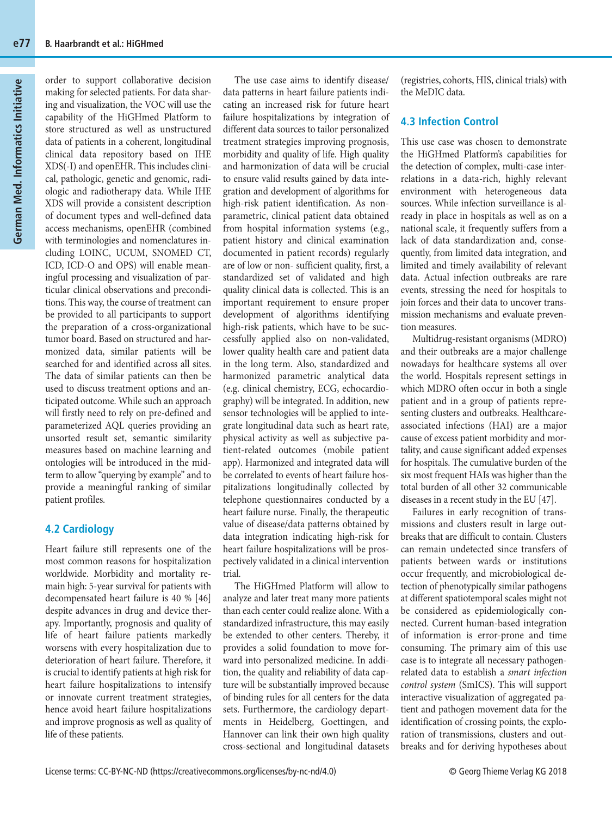order to support collaborative decision making for selected patients. For data sharing and visualization, the VOC will use the capability of the HiGHmed Platform to store structured as well as unstructured data of patients in a coherent, longitudinal clinical data repository based on IHE XDS(-I) and openEHR. This includes clinical, pathologic, genetic and genomic, radiologic and radiotherapy data. While IHE XDS will provide a consistent description of document types and well-defined data access mechanisms, openEHR (combined with terminologies and nomenclatures including LOINC, UCUM, SNOMED CT, ICD, ICD-O and OPS) will enable meaningful processing and visualization of particular clinical observations and preconditions. This way, the course of treatment can be provided to all participants to support the preparation of a cross-organizational tumor board. Based on structured and harmonized data, similar patients will be searched for and identified across all sites. The data of similar patients can then be used to discuss treatment options and anticipated outcome. While such an approach will firstly need to rely on pre-defined and parameterized AQL queries providing an unsorted result set, semantic similarity measures based on machine learning and ontologies will be introduced in the midterm to allow "querying by example" and to provide a meaningful ranking of similar patient profiles.

#### **4.2 Cardiology**

Heart failure still represents one of the most common reasons for hospitalization worldwide. Morbidity and mortality remain high: 5-year survival for patients with decompensated heart failure is 40 % [46] despite advances in drug and device therapy. Importantly, prognosis and quality of life of heart failure patients markedly worsens with every hospitalization due to deterioration of heart failure. Therefore, it is crucial to identify patients at high risk for heart failure hospitalizations to intensify or innovate current treatment strategies, hence avoid heart failure hospitalizations and improve prognosis as well as quality of life of these patients.

The use case aims to identify disease/ data patterns in heart failure patients indicating an increased risk for future heart failure hospitalizations by integration of different data sources to tailor personalized treatment strategies improving prognosis, morbidity and quality of life. High quality and harmonization of data will be crucial to ensure valid results gained by data integration and development of algorithms for high-risk patient identification. As nonparametric, clinical patient data obtained from hospital information systems (e.g., patient history and clinical examination documented in patient records) regularly are of low or non- sufficient quality, first, a standardized set of validated and high quality clinical data is collected. This is an important requirement to ensure proper development of algorithms identifying high-risk patients, which have to be successfully applied also on non-validated, lower quality health care and patient data in the long term. Also, standardized and harmonized parametric analytical data (e.g. clinical chemistry, ECG, echocardiography) will be integrated. In addition, new sensor technologies will be applied to integrate longitudinal data such as heart rate, physical activity as well as subjective patient-related outcomes (mobile patient app). Harmonized and integrated data will be correlated to events of heart failure hospitalizations longitudinally collected by telephone questionnaires conducted by a heart failure nurse. Finally, the therapeutic value of disease/data patterns obtained by data integration indicating high-risk for heart failure hospitalizations will be prospectively validated in a clinical intervention trial. **Exteriorist et al.: HiGHmed**<br>
Soulter as uspect when the secure aims or idealize paisers in depth/creative and the pair of the state of the state of the state of the state of the state of the state of the state of the sta

The HiGHmed Platform will allow to analyze and later treat many more patients than each center could realize alone. With a standardized infrastructure, this may easily be extended to other centers. Thereby, it provides a solid foundation to move forward into personalized medicine. In addition, the quality and reliability of data capture will be substantially improved because of binding rules for all centers for the data sets. Furthermore, the cardiology departments in Heidelberg, Goettingen, and Hannover can link their own high quality cross-sectional and longitudinal datasets (registries, cohorts, HIS, clinical trials) with the MeDIC data.

#### **4.3 Infection Control**

This use case was chosen to demonstrate the HiGHmed Platform's capabilities for the detection of complex, multi-case interrelations in a data-rich, highly relevant environment with heterogeneous data sources. While infection surveillance is already in place in hospitals as well as on a national scale, it frequently suffers from a lack of data standardization and, consequently, from limited data integration, and limited and timely availability of relevant data. Actual infection outbreaks are rare events, stressing the need for hospitals to join forces and their data to uncover transmission mechanisms and evaluate prevention measures.

Multidrug-resistant organisms (MDRO) and their outbreaks are a major challenge nowadays for healthcare systems all over the world. Hospitals represent settings in which MDRO often occur in both a single patient and in a group of patients representing clusters and outbreaks. Healthcareassociated infections (HAI) are a major cause of excess patient morbidity and mortality, and cause significant added expenses for hospitals. The cumulative burden of the six most frequent HAIs was higher than the total burden of all other 32 communicable diseases in a recent study in the EU [47].

Failures in early recognition of transmissions and clusters result in large outbreaks that are difficult to contain. Clusters can remain undetected since transfers of patients between wards or institutions occur frequently, and microbiological detection of phenotypically similar pathogens at different spatiotemporal scales might not be considered as epidemiologically connected. Current human-based integration of information is error-prone and time consuming. The primary aim of this use case is to integrate all necessary pathogenrelated data to establish a *smart infection control system* (SmICS). This will support interactive visualization of aggregated patient and pathogen movement data for the identification of crossing points, the exploration of transmissions, clusters and outbreaks and for deriving hypotheses about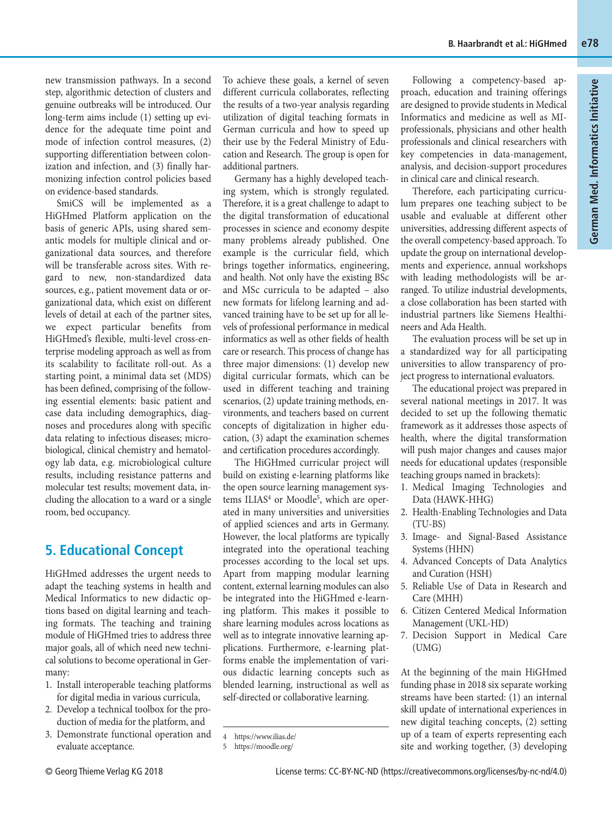new transmission pathways. In a second step, algorithmic detection of clusters and genuine outbreaks will be introduced. Our long-term aims include (1) setting up evidence for the adequate time point and mode of infection control measures, (2) supporting differentiation between colonization and infection, and (3) finally harmonizing infection control policies based on evidence-based standards.

SmiCS will be implemented as a HiGHmed Platform application on the basis of generic APIs, using shared semantic models for multiple clinical and organizational data sources, and therefore will be transferable across sites. With regard to new, non-standardized data sources, e.g., patient movement data or organizational data, which exist on different levels of detail at each of the partner sites, we expect particular benefits from HiGHmed's flexible, multi-level cross-enterprise modeling approach as well as from its scalability to facilitate roll-out. As a starting point, a minimal data set (MDS) has been defined, comprising of the following essential elements: basic patient and case data including demographics, diagnoses and procedures along with specific data relating to infectious diseases; microbiological, clinical chemistry and hematology lab data, e.g. microbiological culture results, including resistance patterns and molecular test results; movement data, including the allocation to a ward or a single room, bed occupancy.

# **5. Educational Concept**

HiGHmed addresses the urgent needs to adapt the teaching systems in health and Medical Informatics to new didactic options based on digital learning and teaching formats. The teaching and training module of HiGHmed tries to address three major goals, all of which need new technical solutions to become operational in Germany:

- 1. Install interoperable teaching platforms for digital media in various curricula,
- 2. Develop a technical toolbox for the production of media for the platform, and
- 3. Demonstrate functional operation and evaluate acceptance.

To achieve these goals, a kernel of seven different curricula collaborates, reflecting the results of a two-year analysis regarding utilization of digital teaching formats in German curricula and how to speed up their use by the Federal Ministry of Education and Research. The group is open for additional partners.

Germany has a highly developed teaching system, which is strongly regulated. Therefore, it is a great challenge to adapt to the digital transformation of educational processes in science and economy despite many problems already published. One example is the curricular field, which brings together informatics, engineering, and health. Not only have the existing BSc and MSc curricula to be adapted – also new formats for lifelong learning and advanced training have to be set up for all levels of professional performance in medical informatics as well as other fields of health care or research. This process of change has three major dimensions: (1) develop new digital curricular formats, which can be used in different teaching and training scenarios, (2) update training methods, environments, and teachers based on current concepts of digitalization in higher education, (3) adapt the examination schemes and certification procedures accordingly.

<span id="page-12-2"></span>The HiGHmed curricular project will build on existing e-learning platforms like the open source learning management sys-tems ILIAS<sup>[4](#page-12-0)</sup> or Moodle<sup>5</sup>, which are operated in many universities and universities of applied sciences and arts in Germany. However, the local platforms are typically integrated into the operational teaching processes according to the local set ups. Apart from mapping modular learning content, external learning modules can also be integrated into the HiGHmed e-learning platform. This makes it possible to share learning modules across locations as well as to integrate innovative learning applications. Furthermore, e-learning platforms enable the implementation of various didactic learning concepts such as blended learning, instructional as well as self-directed or collaborative learning.

Following a competency-based approach, education and training offerings are designed to provide students in Medical Informatics and medicine as well as MIprofessionals, physicians and other health professionals and clinical researchers with key competencies in data-management, analysis, and decision-support procedures in clinical care and clinical research.

Therefore, each participating curriculum prepares one teaching subject to be usable and evaluable at different other universities, addressing different aspects of the overall competency-based approach. To update the group on international developments and experience, annual workshops with leading methodologists will be arranged. To utilize industrial developments, a close collaboration has been started with industrial partners like Siemens Healthineers and Ada Health.

The evaluation process will be set up in a standardized way for all participating universities to allow transparency of project progress to international evaluators.

The educational project was prepared in several national meetings in 2017. It was decided to set up the following thematic framework as it addresses those aspects of health, where the digital transformation will push major changes and causes major needs for educational updates (responsible teaching groups named in brackets):

- 1. Medical Imaging Technologies and Data (HAWK-HHG)
- 2. Health-Enabling Technologies and Data (TU-BS)
- 3. Image- and Signal-Based Assistance Systems (HHN)
- 4. Advanced Concepts of Data Analytics and Curation (HSH)
- 5. Reliable Use of Data in Research and Care (MHH)
- 6. Citizen Centered Medical Information Management (UKL-HD)
- 7. Decision Support in Medical Care (UMG)

At the beginning of the main HiGHmed funding phase in 2018 six separate working streams have been started: (1) an internal skill update of international experiences in new digital teaching concepts, (2) setting up of a team of experts representing each site and working together, (3) developing **German Med. Informatics Initiative**

German Med. Informatics Initiative

<span id="page-12-1"></span><span id="page-12-0"></span>[<sup>4</sup>](#page-12-2) https://www.ilias.de/

https://moodle.org/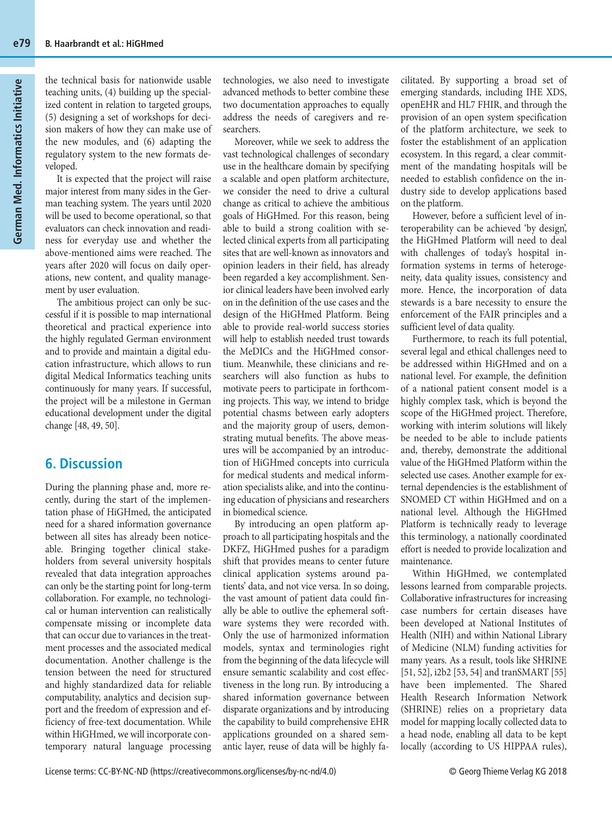the technical basis for nationwide usable teaching units, (4) building up the specialized content in relation to targeted groups, (5) designing a set of workshops for decision makers of how they can make use of the new modules, and (6) adapting the regulatory system to the new formats developed.

It is expected that the project will raise major interest from many sides in the German teaching system. The years until 2020 will be used to become operational, so that evaluators can check innovation and readiness for everyday use and whether the above-mentioned aims were reached. The years after 2020 will focus on daily operations, new content, and quality management by user evaluation.

The ambitious project can only be successful if it is possible to map international theoretical and practical experience into the highly regulated German environment and to provide and maintain a digital education infrastructure, which allows to run digital Medical Informatics teaching units continuously for many years. If successful, the project will be a milestone in German educational development under the digital change [48, 49, 50].

# **6. Discussion**

During the planning phase and, more recently, during the start of the implementation phase of HiGHmed, the anticipated need for a shared information governance between all sites has already been noticeable. Bringing together clinical stakeholders from several university hospitals revealed that data integration approaches can only be the starting point for long-term collaboration. For example, no technological or human intervention can realistically compensate missing or incomplete data that can occur due to variances in the treatment processes and the associated medical documentation. Another challenge is the tension between the need for structured and highly standardized data for reliable computability, analytics and decision support and the freedom of expression and efficiency of free-text documentation. While within HiGHmed, we will incorporate contemporary natural language processing technologies, we also need to investigate advanced methods to better combine these two documentation approaches to equally address the needs of caregivers and researchers.

Moreover, while we seek to address the vast technological challenges of secondary use in the healthcare domain by specifying a scalable and open platform architecture, we consider the need to drive a cultural change as critical to achieve the ambitious goals of HiGHmed. For this reason, being able to build a strong coalition with selected clinical experts from all participating sites that are well-known as innovators and opinion leaders in their field, has already been regarded a key accomplishment. Senior clinical leaders have been involved early on in the definition of the use cases and the design of the HiGHmed Platform. Being able to provide real-world success stories will help to establish needed trust towards the MeDICs and the HiGHmed consortium. Meanwhile, these clinicians and researchers will also function as hubs to motivate peers to participate in forthcoming projects. This way, we intend to bridge potential chasms between early adopters and the majority group of users, demonstrating mutual benefits. The above measures will be accompanied by an introduction of HiGHmed concepts into curricula for medical students and medical information specialists alike, and into the continuing education of physicians and researchers in biomedical science. **Extended at a track of the commons of the commons of the commons of the common system at a material of the common system at the common system at the common system at the common system at the common system at the common sy** 

By introducing an open platform approach to all participating hospitals and the DKFZ, HiGHmed pushes for a paradigm shift that provides means to center future clinical application systems around patients' data, and not vice versa. In so doing, the vast amount of patient data could finally be able to outlive the ephemeral software systems they were recorded with. Only the use of harmonized information models, syntax and terminologies right from the beginning of the data lifecycle will ensure semantic scalability and cost effectiveness in the long run. By introducing a shared information governance between disparate organizations and by introducing the capability to build comprehensive EHR applications grounded on a shared semantic layer, reuse of data will be highly facilitated. By supporting a broad set of emerging standards, including IHE XDS, openEHR and HL7 FHIR, and through the provision of an open system specification of the platform architecture, we seek to foster the establishment of an application ecosystem. In this regard, a clear commitment of the mandating hospitals will be needed to establish confidence on the industry side to develop applications based on the platform.

However, before a sufficient level of interoperability can be achieved 'by design', the HiGHmed Platform will need to deal with challenges of today's hospital information systems in terms of heterogeneity, data quality issues, consistency and more. Hence, the incorporation of data stewards is a bare necessity to ensure the enforcement of the FAIR principles and a sufficient level of data quality.

Furthermore, to reach its full potential, several legal and ethical challenges need to be addressed within HiGHmed and on a national level. For example, the definition of a national patient consent model is a highly complex task, which is beyond the scope of the HiGHmed project. Therefore, working with interim solutions will likely be needed to be able to include patients and, thereby, demonstrate the additional value of the HiGHmed Platform within the selected use cases. Another example for external dependencies is the establishment of SNOMED CT within HiGHmed and on a national level. Although the HiGHmed Platform is technically ready to leverage this terminology, a nationally coordinated effort is needed to provide localization and maintenance.

Within HiGHmed, we contemplated lessons learned from comparable projects. Collaborative infrastructures for increasing case numbers for certain diseases have been developed at National Institutes of Health (NIH) and within National Library of Medicine (NLM) funding activities for many years. As a result, tools like SHRINE [51, 52], i2b2 [53, 54] and tranSMART [55] have been implemented. The Shared Health Research Information Network (SHRINE) relies on a proprietary data model for mapping locally collected data to a head node, enabling all data to be kept locally (according to US HIPPAA rules),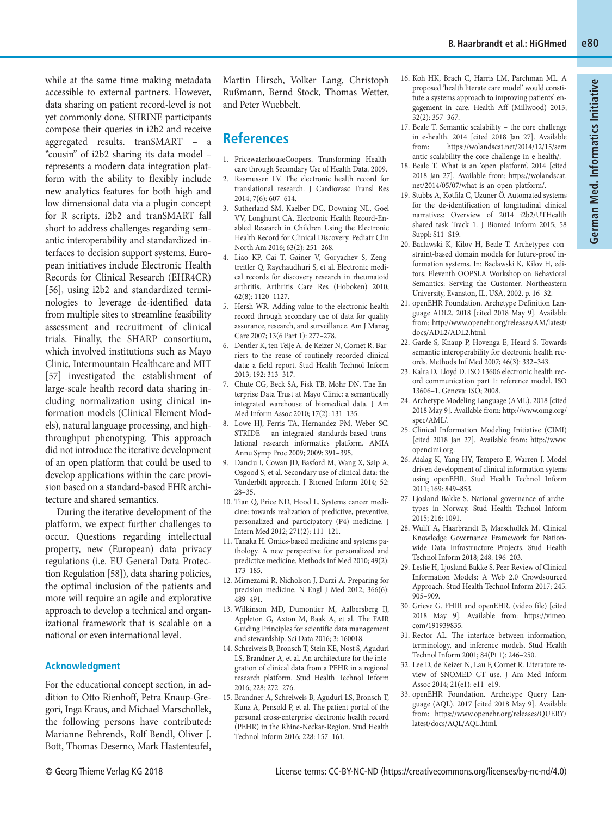while at the same time making metadata accessible to external partners. However, data sharing on patient record-level is not yet commonly done. SHRINE participants compose their queries in i2b2 and receive aggregated results. tranSMART – a "cousin" of i2b2 sharing its data model – represents a modern data integration platform with the ability to flexibly include new analytics features for both high and low dimensional data via a plugin concept for R scripts. i2b2 and tranSMART fall short to address challenges regarding semantic interoperability and standardized interfaces to decision support systems. European initiatives include Electronic Health Records for Clinical Research (EHR4CR) [56], using i2b2 and standardized terminologies to leverage de-identified data from multiple sites to streamline feasibility assessment and recruitment of clinical trials. Finally, the SHARP consortium, which involved institutions such as Mayo Clinic, Intermountain Healthcare and MIT [57] investigated the establishment of large-scale health record data sharing including normalization using clinical information models (Clinical Element Models), natural language processing, and highthroughput phenotyping. This approach did not introduce the iterative development of an open platform that could be used to develop applications within the care provision based on a standard-based EHR architecture and shared semantics.

During the iterative development of the platform, we expect further challenges to occur. Questions regarding intellectual property, new (European) data privacy regulations (i.e. EU General Data Protection Regulation [58]), data sharing policies, the optimal inclusion of the patients and more will require an agile and explorative approach to develop a technical and organizational framework that is scalable on a national or even international level.

#### **Acknowledgment**

For the educational concept section, in addition to Otto Rienhoff, Petra Knaup-Gregori, Inga Kraus, and Michael Marschollek, the following persons have contributed: Marianne Behrends, Rolf Bendl, Oliver J. Bott, Thomas Deserno, Mark Hastenteufel, Martin Hirsch, Volker Lang, Christoph Rußmann, Bernd Stock, Thomas Wetter, and Peter Wuebbelt.

# **References**

- 1. PricewaterhouseCoopers. Transforming Healthcare through Secondary Use of Health Data. 2009.
- 2. Rasmussen LV. The electronic health record for translational research. J Cardiovasc Transl Res 2014; 7(6): 607–614.
- 3. Sutherland SM, Kaelber DC, Downing NL, Goel VV, Longhurst CA. Electronic Health Record-Enabled Research in Children Using the Electronic Health Record for Clinical Discovery. Pediatr Clin North Am 2016; 63(2): 251–268.
- 4. Liao KP, Cai T, Gainer V, Goryachev S, Zengtreitler Q, Raychaudhuri S, et al. Electronic medical records for discovery research in rheumatoid arthritis. Arthritis Care Res (Hoboken) 2010; 62(8): 1120–1127.
- 5. Hersh WR. Adding value to the electronic health record through secondary use of data for quality assurance, research, and surveillance. Am J Manag Care 2007; 13(6 Part 1): 277–278.
- 6. Dentler K, ten Teije A, de Keizer N, Cornet R. Barriers to the reuse of routinely recorded clinical data: a field report. Stud Health Technol Inform 2013; 192: 313–317.
- 7. Chute CG, Beck SA, Fisk TB, Mohr DN. The Enterprise Data Trust at Mayo Clinic: a semantically integrated warehouse of biomedical data. J Am Med Inform Assoc 2010; 17(2): 131–135.
- 8. Lowe HJ, Ferris TA, Hernandez PM, Weber SC. STRIDE – an integrated standards-based translational research informatics platform. AMIA Annu Symp Proc 2009; 2009: 391–395.
- 9. Danciu I, Cowan JD, Basford M, Wang X, Saip A, Osgood S, et al. Secondary use of clinical data: the Vanderbilt approach. J Biomed Inform 2014; 52: 28–35.
- 10. Tian Q, Price ND, Hood L. Systems cancer medicine: towards realization of predictive, preventive, personalized and participatory (P4) medicine. J Intern Med 2012; 271(2): 111–121.
- 11. Tanaka H. Omics-based medicine and systems pathology. A new perspective for personalized and predictive medicine. Methods Inf Med 2010; 49(2): 173–185.
- 12. Mirnezami R, Nicholson J, Darzi A. Preparing for precision medicine. N Engl J Med 2012; 366(6): 489–491.
- 13. Wilkinson MD, Dumontier M, Aalbersberg IJ, Appleton G, Axton M, Baak A, et al. The FAIR Guiding Principles for scientific data management and stewardship. Sci Data 2016; 3: 160018.
- 14. Schreiweis B, Bronsch T, Stein KE, Nost S, Aguduri LS, Brandner A, et al. An architecture for the integration of clinical data from a PEHR in a regional research platform. Stud Health Technol Inform 2016; 228: 272–276.
- 15. Brandner A, Schreiweis B, Aguduri LS, Bronsch T, Kunz A, Pensold P, et al. The patient portal of the personal cross-enterprise electronic health record (PEHR) in the Rhine-Neckar-Region. Stud Health Technol Inform 2016; 228: 157–161.
- 16. Koh HK, Brach C, Harris LM, Parchman ML. A proposed 'health literate care model' would constitute a systems approach to improving patients' engagement in care. Health Aff (Millwood) 2013; 32(2): 357–367.
- 17. Beale T. Semantic scalability the core challenge in e-health. 2014 [cited 2018 Jan 27]. Available from: https://wolandscat.net/2014/12/15/sem antic-scalability-the-core-challenge-in-e-health/.
- 18. Beale T. What is an 'open platform'. 2014 [cited 2018 Jan 27]. Available from: https://wolandscat. net/2014/05/07/what-is-an-open-platform/.
- 19. Stubbs A, Kotfila C, Uzuner Ö. Automated systems for the de-identification of longitudinal clinical narratives: Overview of 2014 i2b2/UTHealth shared task Track 1. J Biomed Inform 2015; 58 Suppl: S11–S19.
- 20. Baclawski K, Kilov H, Beale T. Archetypes: constraint-based domain models for future-proof information systems. In: Baclawski K, Kilov H, editors. Eleventh OOPSLA Workshop on Behavioral Semantics: Serving the Customer. Northeastern University, Evanston, IL, USA, 2002. p. 16–32.
- 21. openEHR Foundation. Archetype Definition Language ADL2. 2018 [cited 2018 May 9]. Available from: http://www.openehr.org/releases/AM/latest/ docs/ADL2/ADL2.html.
- 22. Garde S, Knaup P, Hovenga E, Heard S. Towards semantic interoperability for electronic health records. Methods Inf Med 2007; 46(3): 332–343.
- 23. Kalra D, Lloyd D. ISO 13606 electronic health record communication part 1: reference model. ISO 13606–1. Geneva: ISO; 2008.
- 24. Archetype Modeling Language (AML). 2018 [cited 2018 May 9]. Available from: http://www.omg.org/ spec/AML/.
- 25. Clinical Information Modeling Initiative (CIMI) [cited 2018 Jan 27]. Available from: http://www. opencimi.org.
- 26. Atalag K, Yang HY, Tempero E, Warren J. Model driven development of clinical information sytems using openEHR. Stud Health Technol Inform 2011; 169: 849–853.
- 27. Ljosland Bakke S. National governance of archetypes in Norway. Stud Health Technol Inform 2015; 216: 1091.
- 28. Wulff A, Haarbrandt B, Marschollek M. Clinical Knowledge Governance Framework for Nationwide Data Infrastructure Projects. Stud Health Technol Inform 2018; 248: 196–203.
- 29. Leslie H, Ljosland Bakke S. Peer Review of Clinical Information Models: A Web 2.0 Crowdsourced Approach. Stud Health Technol Inform 2017; 245: 905–909.
- 30. Grieve G. FHIR and openEHR. (video file) [cited 2018 May 9]. Available from: https://vimeo. com/191939835.
- 31. Rector AL. The interface between information, terminology, and inference models. Stud Health Technol Inform 2001; 84(Pt 1): 246–250.
- 32. Lee D, de Keizer N, Lau F, Cornet R. Literature review of SNOMED CT use. J Am Med Inform Assoc 2014; 21(e1): e11–e19.
- 33. openEHR Foundation. Archetype Query Language (AQL). 2017 [cited 2018 May 9]. Available from: https://www.openehr.org/releases/QUERY/ latest/docs/AQL/AQL.html.